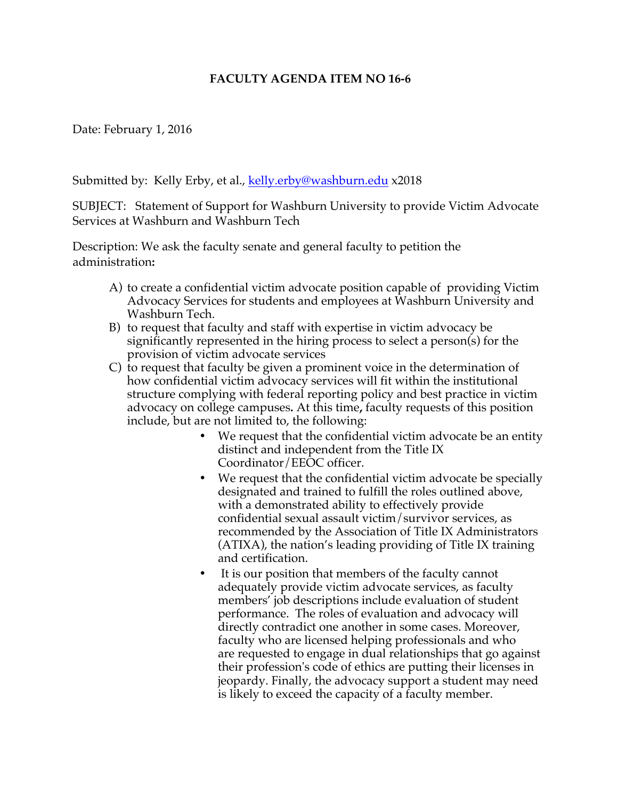## **FACULTY AGENDA ITEM NO 16-6**

Date: February 1, 2016

Submitted by: Kelly Erby, et al., kelly.erby@washburn.edu x2018

SUBJECT: Statement of Support for Washburn University to provide Victim Advocate Services at Washburn and Washburn Tech

Description: We ask the faculty senate and general faculty to petition the administration**:** 

- A) to create a confidential victim advocate position capable of providing Victim Advocacy Services for students and employees at Washburn University and Washburn Tech.
- B) to request that faculty and staff with expertise in victim advocacy be significantly represented in the hiring process to select a person(s) for the provision of victim advocate services
- C) to request that faculty be given a prominent voice in the determination of how confidential victim advocacy services will fit within the institutional structure complying with federal reporting policy and best practice in victim advocacy on college campuses**.** At this time**,** faculty requests of this position include, but are not limited to, the following:
	- We request that the confidential victim advocate be an entity distinct and independent from the Title IX Coordinator/EEOC officer.
	- We request that the confidential victim advocate be specially designated and trained to fulfill the roles outlined above, with a demonstrated ability to effectively provide confidential sexual assault victim/survivor services, as recommended by the Association of Title IX Administrators (ATIXA), the nation's leading providing of Title IX training and certification.
	- It is our position that members of the faculty cannot adequately provide victim advocate services, as faculty members' job descriptions include evaluation of student performance. The roles of evaluation and advocacy will directly contradict one another in some cases. Moreover, faculty who are licensed helping professionals and who are requested to engage in dual relationships that go against their profession's code of ethics are putting their licenses in jeopardy. Finally, the advocacy support a student may need is likely to exceed the capacity of a faculty member.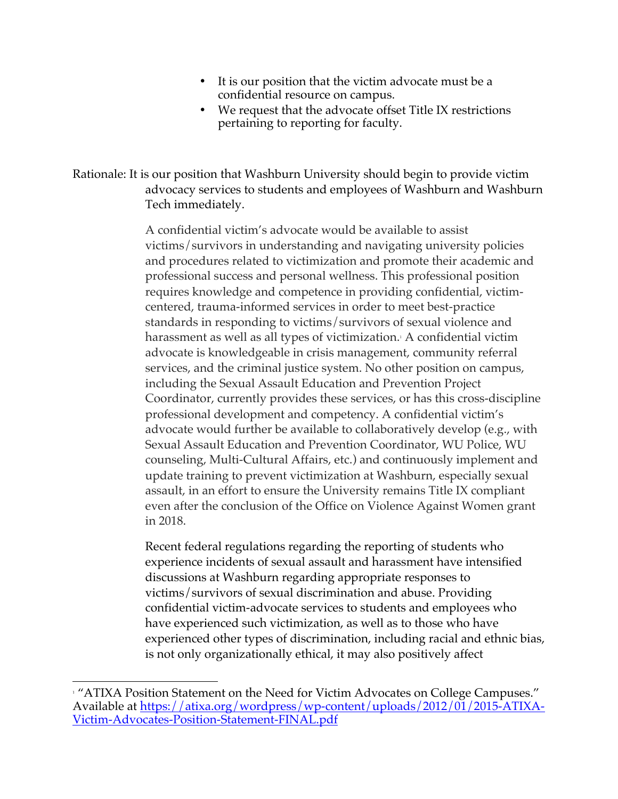- It is our position that the victim advocate must be a confidential resource on campus.
- We request that the advocate offset Title IX restrictions pertaining to reporting for faculty.

Rationale: It is our position that Washburn University should begin to provide victim advocacy services to students and employees of Washburn and Washburn Tech immediately.

> A confidential victim's advocate would be available to assist victims/survivors in understanding and navigating university policies and procedures related to victimization and promote their academic and professional success and personal wellness. This professional position requires knowledge and competence in providing confidential, victimcentered, trauma-informed services in order to meet best-practice standards in responding to victims/survivors of sexual violence and harassment as well as all types of victimization.<sup>1</sup> A confidential victim advocate is knowledgeable in crisis management, community referral services, and the criminal justice system. No other position on campus, including the Sexual Assault Education and Prevention Project Coordinator, currently provides these services, or has this cross-discipline professional development and competency. A confidential victim's advocate would further be available to collaboratively develop (e.g., with Sexual Assault Education and Prevention Coordinator, WU Police, WU counseling, Multi-Cultural Affairs, etc.) and continuously implement and update training to prevent victimization at Washburn, especially sexual assault, in an effort to ensure the University remains Title IX compliant even after the conclusion of the Office on Violence Against Women grant in 2018.

Recent federal regulations regarding the reporting of students who experience incidents of sexual assault and harassment have intensified discussions at Washburn regarding appropriate responses to victims/survivors of sexual discrimination and abuse. Providing confidential victim-advocate services to students and employees who have experienced such victimization, as well as to those who have experienced other types of discrimination, including racial and ethnic bias, is not only organizationally ethical, it may also positively affect

<u> 1989 - Johann Stein, markin film yn y breninn y breninn y breninn y breninn y breninn y breninn y breninn y b</u>

<sup>&</sup>lt;sup>1</sup> "ATIXA Position Statement on the Need for Victim Advocates on College Campuses." Available at https://atixa.org/wordpress/wp-content/uploads/2012/01/2015-ATIXA-Victim-Advocates-Position-Statement-FINAL.pdf